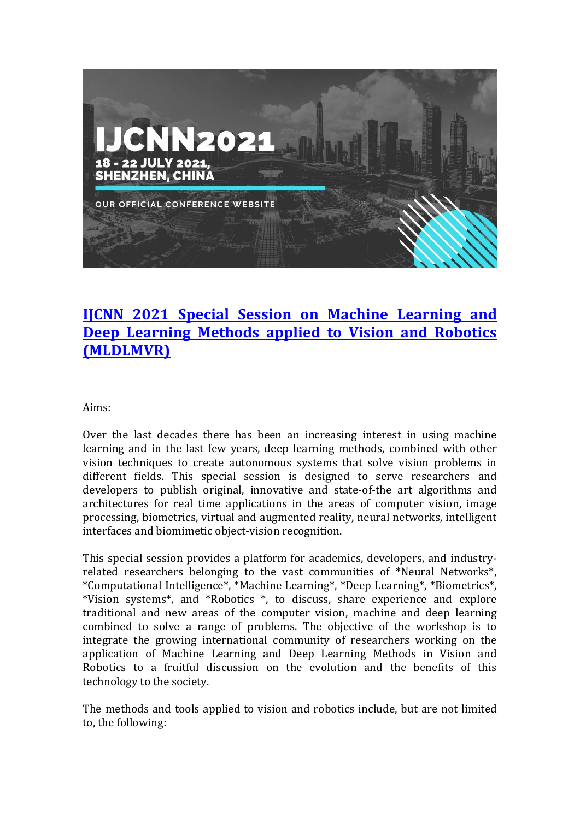

# **IJCNN 2021 [Special Session on Machine Learning and](https://www.ijcnn.org/)  Deep Learning Methods [applied to Vision and Robotics](https://www.ijcnn.org/)  [\(MLDLMVR\)](https://www.ijcnn.org/)**

Aims:

Over the last decades there has been an increasing interest in using machine learning and in the last few years, deep learning methods, combined with other vision techniques to create autonomous systems that solve vision problems in different fields. This special session is designed to serve researchers and developers to publish original, innovative and state-of-the art algorithms and architectures for real time applications in the areas of computer vision, image processing, biometrics, virtual and augmented reality, neural networks, intelligent interfaces and biomimetic object-vision recognition.

This special session provides a platform for academics, developers, and industryrelated researchers belonging to the vast communities of \*Neural Networks\*, \*Computational Intelligence\*, \*Machine Learning\*, \*Deep Learning\*, \*Biometrics\*, \*Vision systems\*, and \*Robotics \*, to discuss, share experience and explore traditional and new areas of the computer vision, machine and deep learning combined to solve a range of problems. The objective of the workshop is to integrate the growing international community of researchers working on the application of Machine Learning and Deep Learning Methods in Vision and Robotics to a fruitful discussion on the evolution and the benefits of this technology to the society.

The methods and tools applied to vision and robotics include, but are not limited to, the following: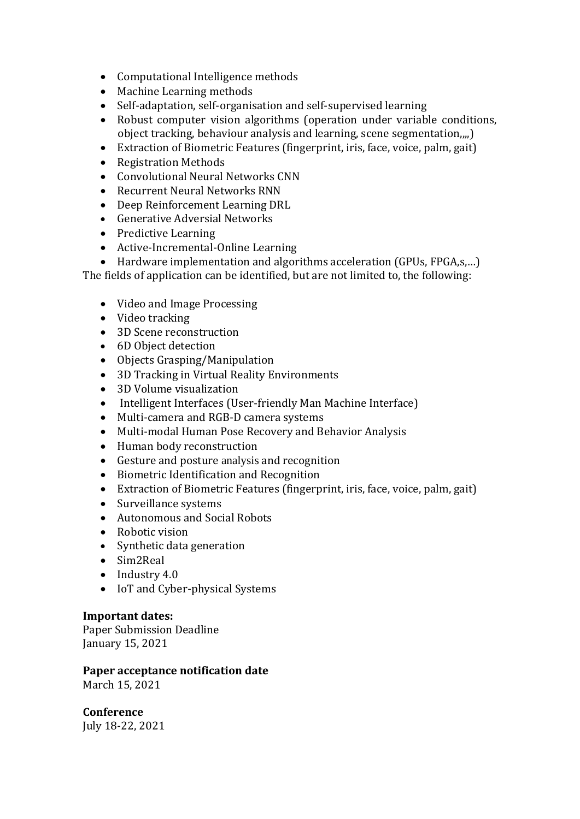- Computational Intelligence methods
- Machine Learning methods
- Self-adaptation, self-organisation and self-supervised learning
- Robust computer vision algorithms (operation under variable conditions, object tracking, behaviour analysis and learning, scene segmentation,,,,)
- Extraction of Biometric Features (fingerprint, iris, face, voice, palm, gait)
- Registration Methods
- Convolutional Neural Networks CNN
- Recurrent Neural Networks RNN
- Deep Reinforcement Learning DRL
- Generative Adversial Networks
- Predictive Learning
- Active-Incremental-Online Learning
- Hardware implementation and algorithms acceleration (GPUs, FPGA,s,…)

The fields of application can be identified, but are not limited to, the following:

- Video and Image Processing
- Video tracking
- 3D Scene reconstruction
- 6D Object detection
- Objects Grasping/Manipulation
- 3D Tracking in Virtual Reality Environments
- 3D Volume visualization
- Intelligent Interfaces (User-friendly Man Machine Interface)
- Multi-camera and RGB-D camera systems
- Multi-modal Human Pose Recovery and Behavior Analysis
- Human body reconstruction
- Gesture and posture analysis and recognition
- Biometric Identification and Recognition
- Extraction of Biometric Features (fingerprint, iris, face, voice, palm, gait)
- Surveillance systems
- Autonomous and Social Robots
- Robotic vision
- Synthetic data generation
- Sim2Real
- Industry 4.0
- IoT and Cyber-physical Systems

### **Important dates:**

Paper Submission Deadline January 15, 2021

#### **Paper acceptance notification date**  March 15, 2021

**Conference** July 18-22, 2021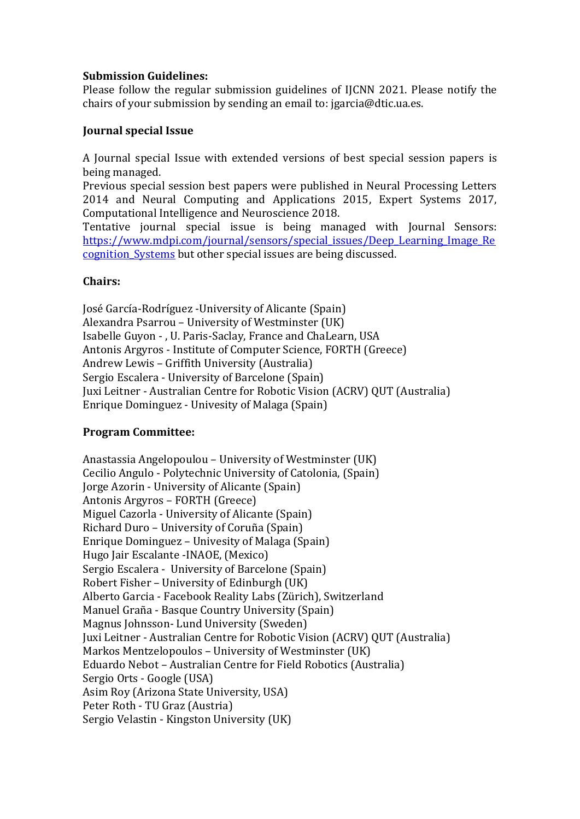#### **Submission Guidelines:**

Please follow the regular submission guidelines of IJCNN 2021. Please notify the chairs of your submission by sending an email to: jgarcia@dtic.ua.es.

#### **Journal special Issue**

A Journal special Issue with extended versions of best special session papers is being managed.

Previous special session best papers were published in Neural Processing Letters 2014 and Neural Computing and Applications 2015, Expert Systems 2017, Computational Intelligence and Neuroscience 2018.

Tentative journal special issue is being managed with Journal Sensors: [https://www.mdpi.com/journal/sensors/special\\_issues/Deep\\_Learning\\_Image\\_Re](https://www.mdpi.com/journal/sensors/special_issues/Deep_Learning_Image_Recognition_Systems) [cognition\\_Systems](https://www.mdpi.com/journal/sensors/special_issues/Deep_Learning_Image_Recognition_Systems) but other special issues are being discussed.

#### **Chairs:**

José García-Rodríguez -University of Alicante (Spain) Alexandra Psarrou – University of Westminster (UK) Isabelle Guyon - , U. Paris-Saclay, France and ChaLearn, USA Antonis Argyros - Institute of Computer Science, FORTH (Greece) Andrew Lewis – Griffith University (Australia) Sergio Escalera - University of Barcelone (Spain) Juxi Leitner - Australian Centre for Robotic Vision (ACRV) QUT (Australia) Enrique Dominguez - Univesity of Malaga (Spain)

### **Program Committee:**

Anastassia Angelopoulou – University of Westminster (UK) Cecilio Angulo - Polytechnic University of Catolonia, (Spain) Jorge Azorin - University of Alicante (Spain) Antonis Argyros – FORTH (Greece) Miguel Cazorla - University of Alicante (Spain) Richard Duro – University of Coruña (Spain) Enrique Dominguez – Univesity of Malaga (Spain) Hugo Jair Escalante -INAOE, (Mexico) Sergio Escalera - University of Barcelone (Spain) Robert Fisher – University of Edinburgh (UK) Alberto Garcia - Facebook Reality Labs (Zürich), Switzerland Manuel Graña - Basque Country University (Spain) Magnus Johnsson- Lund University (Sweden) Juxi Leitner - Australian Centre for Robotic Vision (ACRV) QUT (Australia) Markos Mentzelopoulos – University of Westminster (UK) Eduardo Nebot – Australian Centre for Field Robotics (Australia) Sergio Orts - Google (USA) Asim Roy (Arizona State University, USA) Peter Roth - TU Graz (Austria) Sergio Velastin - Kingston University (UK)